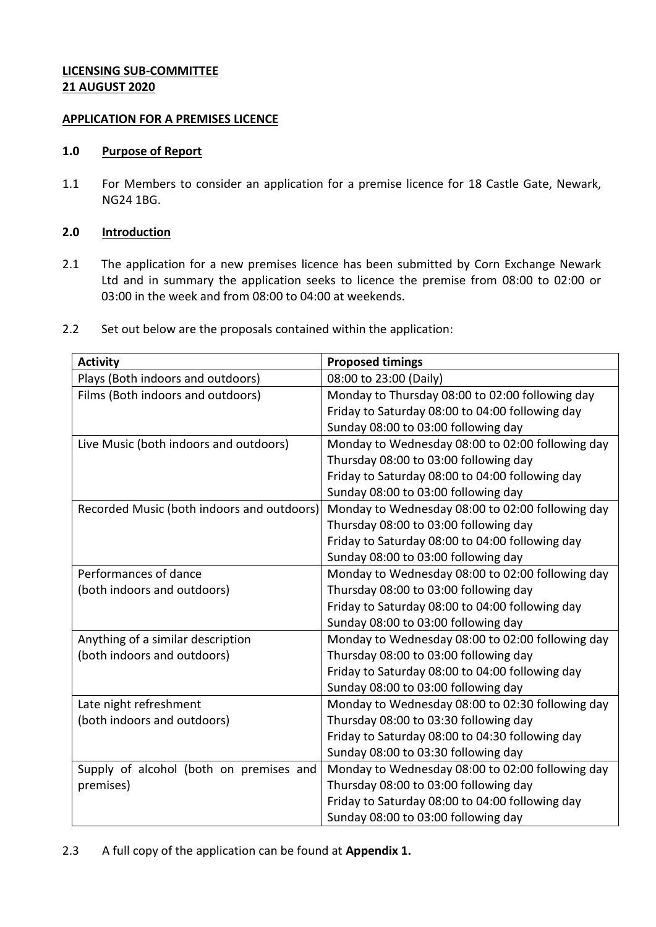# **LICENSING SUB-COMMITTEE 21 AUGUST 2020**

### **APPLICATION FOR A PREMISES LICENCE**

### **1.0 Purpose of Report**

1.1 For Members to consider an application for a premise licence for 18 Castle Gate, Newark, NG24 1BG.

## **2.0 Introduction**

- 2.1 The application for a new premises licence has been submitted by Corn Exchange Newark Ltd and in summary the application seeks to licence the premise from 08:00 to 02:00 or 03:00 in the week and from 08:00 to 04:00 at weekends.
- 2.2 Set out below are the proposals contained within the application:

| <b>Activity</b>                            | <b>Proposed timings</b>                          |
|--------------------------------------------|--------------------------------------------------|
| Plays (Both indoors and outdoors)          | 08:00 to 23:00 (Daily)                           |
| Films (Both indoors and outdoors)          | Monday to Thursday 08:00 to 02:00 following day  |
|                                            | Friday to Saturday 08:00 to 04:00 following day  |
|                                            | Sunday 08:00 to 03:00 following day              |
| Live Music (both indoors and outdoors)     | Monday to Wednesday 08:00 to 02:00 following day |
|                                            | Thursday 08:00 to 03:00 following day            |
|                                            | Friday to Saturday 08:00 to 04:00 following day  |
|                                            | Sunday 08:00 to 03:00 following day              |
| Recorded Music (both indoors and outdoors) | Monday to Wednesday 08:00 to 02:00 following day |
|                                            | Thursday 08:00 to 03:00 following day            |
|                                            | Friday to Saturday 08:00 to 04:00 following day  |
|                                            | Sunday 08:00 to 03:00 following day              |
| Performances of dance                      | Monday to Wednesday 08:00 to 02:00 following day |
| (both indoors and outdoors)                | Thursday 08:00 to 03:00 following day            |
|                                            | Friday to Saturday 08:00 to 04:00 following day  |
|                                            | Sunday 08:00 to 03:00 following day              |
| Anything of a similar description          | Monday to Wednesday 08:00 to 02:00 following day |
| (both indoors and outdoors)                | Thursday 08:00 to 03:00 following day            |
|                                            | Friday to Saturday 08:00 to 04:00 following day  |
|                                            | Sunday 08:00 to 03:00 following day              |
| Late night refreshment                     | Monday to Wednesday 08:00 to 02:30 following day |
| (both indoors and outdoors)                | Thursday 08:00 to 03:30 following day            |
|                                            | Friday to Saturday 08:00 to 04:30 following day  |
|                                            | Sunday 08:00 to 03:30 following day              |
| Supply of alcohol (both on premises and    | Monday to Wednesday 08:00 to 02:00 following day |
| premises)                                  | Thursday 08:00 to 03:00 following day            |
|                                            | Friday to Saturday 08:00 to 04:00 following day  |
|                                            | Sunday 08:00 to 03:00 following day              |

2.3 A full copy of the application can be found at **Appendix 1.**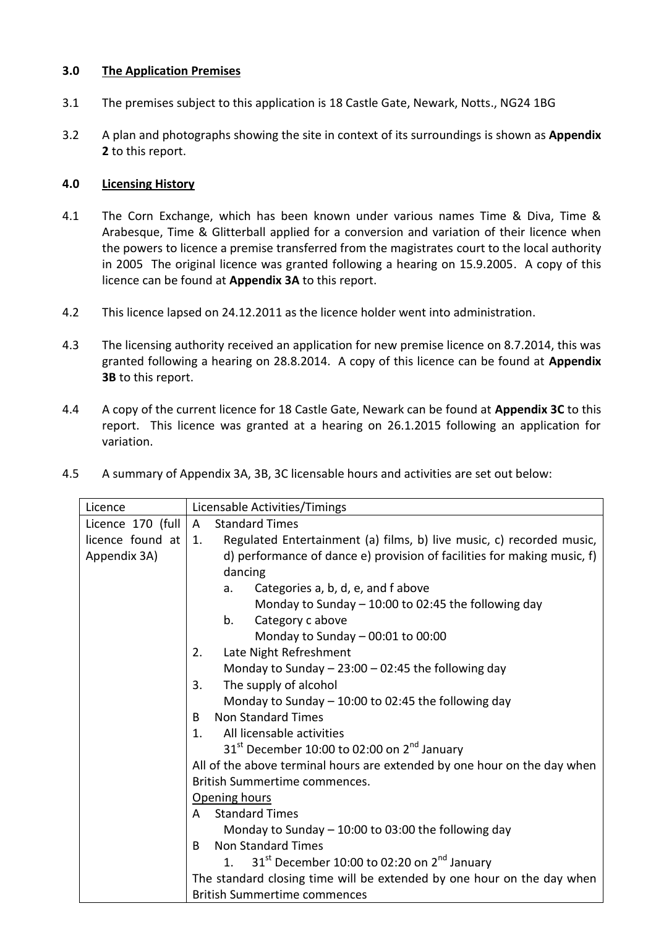## **3.0 The Application Premises**

- 3.1 The premises subject to this application is 18 Castle Gate, Newark, Notts., NG24 1BG
- 3.2 A plan and photographs showing the site in context of its surroundings is shown as **Appendix 2** to this report.

### **4.0 Licensing History**

- 4.1 The Corn Exchange, which has been known under various names Time & Diva, Time & Arabesque, Time & Glitterball applied for a conversion and variation of their licence when the powers to licence a premise transferred from the magistrates court to the local authority in 2005 The original licence was granted following a hearing on 15.9.2005. A copy of this licence can be found at **Appendix 3A** to this report.
- 4.2 This licence lapsed on 24.12.2011 as the licence holder went into administration.
- 4.3 The licensing authority received an application for new premise licence on 8.7.2014, this was granted following a hearing on 28.8.2014. A copy of this licence can be found at **Appendix 3B** to this report.
- 4.4 A copy of the current licence for 18 Castle Gate, Newark can be found at **Appendix 3C** to this report. This licence was granted at a hearing on 26.1.2015 following an application for variation.
- 4.5 A summary of Appendix 3A, 3B, 3C licensable hours and activities are set out below:

| Licence           | Licensable Activities/Timings                                                         |  |  |
|-------------------|---------------------------------------------------------------------------------------|--|--|
| Licence 170 (full | <b>Standard Times</b><br>$\mathsf{A}$                                                 |  |  |
| licence found at  | Regulated Entertainment (a) films, b) live music, c) recorded music,<br>1.            |  |  |
| Appendix 3A)      | d) performance of dance e) provision of facilities for making music, f)               |  |  |
|                   | dancing                                                                               |  |  |
|                   | Categories a, b, d, e, and f above<br>a.                                              |  |  |
|                   | Monday to Sunday $-10:00$ to 02:45 the following day                                  |  |  |
|                   | Category c above<br>b.                                                                |  |  |
|                   | Monday to Sunday $-$ 00:01 to 00:00                                                   |  |  |
|                   | Late Night Refreshment<br>2.                                                          |  |  |
|                   | Monday to Sunday $- 23:00 - 02:45$ the following day                                  |  |  |
|                   | The supply of alcohol<br>3.                                                           |  |  |
|                   | Monday to Sunday $-10:00$ to 02:45 the following day                                  |  |  |
|                   | <b>Non Standard Times</b><br>B.                                                       |  |  |
|                   | 1 <sub>1</sub><br>All licensable activities                                           |  |  |
|                   | $31st$ December 10:00 to 02:00 on 2 <sup>nd</sup> January                             |  |  |
|                   | All of the above terminal hours are extended by one hour on the day when              |  |  |
|                   | British Summertime commences.                                                         |  |  |
|                   | Opening hours                                                                         |  |  |
|                   | <b>Standard Times</b><br>A                                                            |  |  |
|                   | Monday to Sunday $-10:00$ to 03:00 the following day                                  |  |  |
|                   | <b>Non Standard Times</b><br>B                                                        |  |  |
|                   | 31 <sup>st</sup> December 10:00 to 02:20 on 2 <sup>nd</sup> January<br>$\mathbf{1}$ . |  |  |
|                   | The standard closing time will be extended by one hour on the day when                |  |  |
|                   | <b>British Summertime commences</b>                                                   |  |  |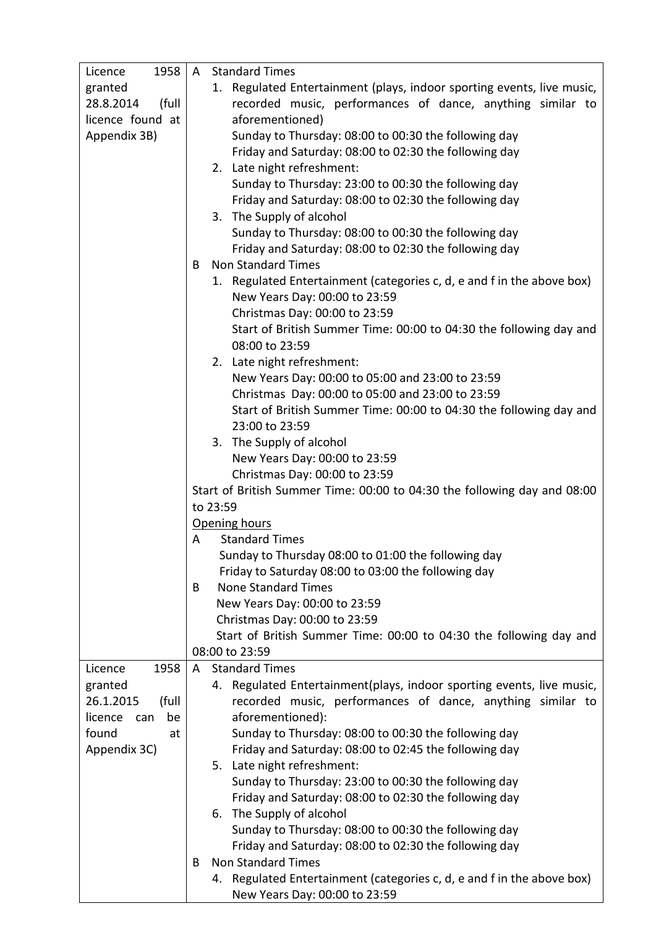| 1958<br>Licence      | A Standard Times                                                         |  |
|----------------------|--------------------------------------------------------------------------|--|
| granted              | 1. Regulated Entertainment (plays, indoor sporting events, live music,   |  |
| 28.8.2014<br>(full   | recorded music, performances of dance, anything similar to               |  |
| licence found at     | aforementioned)                                                          |  |
| Appendix 3B)         | Sunday to Thursday: 08:00 to 00:30 the following day                     |  |
|                      | Friday and Saturday: 08:00 to 02:30 the following day                    |  |
|                      | 2. Late night refreshment:                                               |  |
|                      | Sunday to Thursday: 23:00 to 00:30 the following day                     |  |
|                      | Friday and Saturday: 08:00 to 02:30 the following day                    |  |
|                      | 3. The Supply of alcohol                                                 |  |
|                      | Sunday to Thursday: 08:00 to 00:30 the following day                     |  |
|                      | Friday and Saturday: 08:00 to 02:30 the following day                    |  |
|                      | <b>Non Standard Times</b><br>B                                           |  |
|                      | 1. Regulated Entertainment (categories c, d, e and f in the above box)   |  |
|                      | New Years Day: 00:00 to 23:59                                            |  |
|                      | Christmas Day: 00:00 to 23:59                                            |  |
|                      | Start of British Summer Time: 00:00 to 04:30 the following day and       |  |
|                      | 08:00 to 23:59                                                           |  |
|                      | 2. Late night refreshment:                                               |  |
|                      | New Years Day: 00:00 to 05:00 and 23:00 to 23:59                         |  |
|                      | Christmas Day: 00:00 to 05:00 and 23:00 to 23:59                         |  |
|                      | Start of British Summer Time: 00:00 to 04:30 the following day and       |  |
|                      | 23:00 to 23:59                                                           |  |
|                      | 3. The Supply of alcohol                                                 |  |
|                      | New Years Day: 00:00 to 23:59                                            |  |
|                      | Christmas Day: 00:00 to 23:59                                            |  |
|                      | Start of British Summer Time: 00:00 to 04:30 the following day and 08:00 |  |
|                      | to 23:59                                                                 |  |
|                      | Opening hours                                                            |  |
|                      | <b>Standard Times</b><br>A                                               |  |
|                      | Sunday to Thursday 08:00 to 01:00 the following day                      |  |
|                      | Friday to Saturday 08:00 to 03:00 the following day                      |  |
|                      | <b>None Standard Times</b><br>B                                          |  |
|                      | New Years Day: 00:00 to 23:59                                            |  |
|                      | Christmas Day: 00:00 to 23:59                                            |  |
|                      | Start of British Summer Time: 00:00 to 04:30 the following day and       |  |
|                      | 08:00 to 23:59                                                           |  |
| 1958<br>Licence      | <b>Standard Times</b><br>A                                               |  |
| granted              | 4. Regulated Entertainment(plays, indoor sporting events, live music,    |  |
| 26.1.2015<br>(full   | recorded music, performances of dance, anything similar to               |  |
| licence<br>be<br>can | aforementioned):                                                         |  |
| found<br>at          | Sunday to Thursday: 08:00 to 00:30 the following day                     |  |
| Appendix 3C)         | Friday and Saturday: 08:00 to 02:45 the following day                    |  |
|                      | 5. Late night refreshment:                                               |  |
|                      | Sunday to Thursday: 23:00 to 00:30 the following day                     |  |
|                      | Friday and Saturday: 08:00 to 02:30 the following day                    |  |
|                      | 6. The Supply of alcohol                                                 |  |
|                      | Sunday to Thursday: 08:00 to 00:30 the following day                     |  |
|                      | Friday and Saturday: 08:00 to 02:30 the following day                    |  |
|                      | <b>Non Standard Times</b><br>B                                           |  |
|                      | 4. Regulated Entertainment (categories c, d, e and f in the above box)   |  |
|                      | New Years Day: 00:00 to 23:59                                            |  |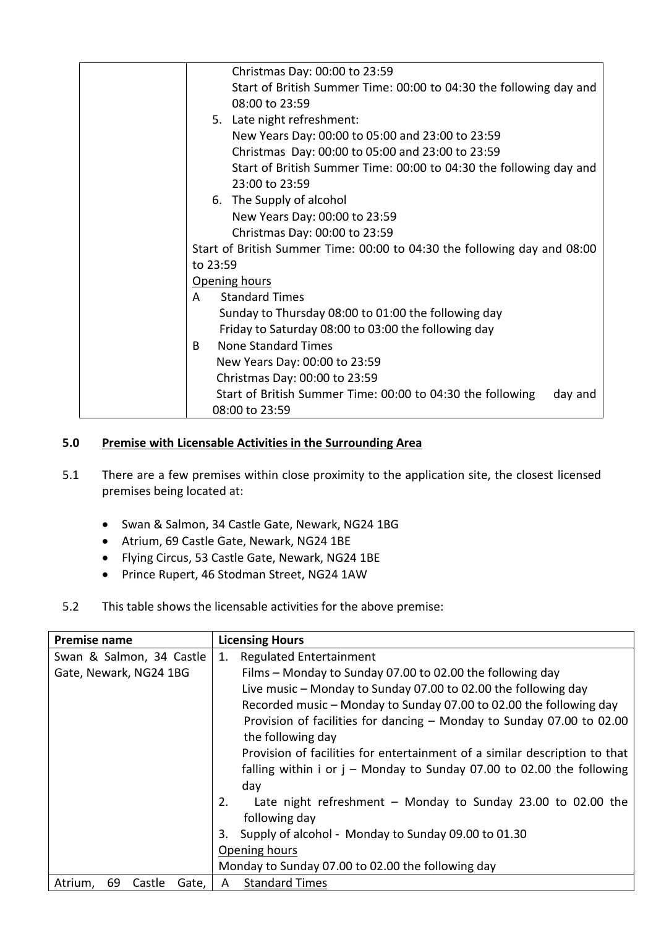| Christmas Day: 00:00 to 23:59                                            |  |
|--------------------------------------------------------------------------|--|
| Start of British Summer Time: 00:00 to 04:30 the following day and       |  |
| 08:00 to 23:59                                                           |  |
| 5. Late night refreshment:                                               |  |
| New Years Day: 00:00 to 05:00 and 23:00 to 23:59                         |  |
| Christmas Day: 00:00 to 05:00 and 23:00 to 23:59                         |  |
| Start of British Summer Time: 00:00 to 04:30 the following day and       |  |
| 23:00 to 23:59                                                           |  |
| 6. The Supply of alcohol                                                 |  |
| New Years Day: 00:00 to 23:59                                            |  |
| Christmas Day: 00:00 to 23:59                                            |  |
| Start of British Summer Time: 00:00 to 04:30 the following day and 08:00 |  |
| to 23:59                                                                 |  |
| Opening hours                                                            |  |
| <b>Standard Times</b><br>A                                               |  |
| Sunday to Thursday 08:00 to 01:00 the following day                      |  |
| Friday to Saturday 08:00 to 03:00 the following day                      |  |
| <b>None Standard Times</b><br>B.                                         |  |
| New Years Day: 00:00 to 23:59                                            |  |
|                                                                          |  |
| Christmas Day: 00:00 to 23:59                                            |  |
| Start of British Summer Time: 00:00 to 04:30 the following<br>day and    |  |
| 08:00 to 23:59                                                           |  |

# **5.0 Premise with Licensable Activities in the Surrounding Area**

- 5.1 There are a few premises within close proximity to the application site, the closest licensed premises being located at:
	- Swan & Salmon, 34 Castle Gate, Newark, NG24 1BG
	- Atrium, 69 Castle Gate, Newark, NG24 1BE
	- Flying Circus, 53 Castle Gate, Newark, NG24 1BE
	- Prince Rupert, 46 Stodman Street, NG24 1AW
- 5.2 This table shows the licensable activities for the above premise:

| <b>Premise name</b>              | <b>Licensing Hours</b>                                                     |
|----------------------------------|----------------------------------------------------------------------------|
| Swan & Salmon, 34 Castle         | <b>Regulated Entertainment</b><br>1.                                       |
| Gate, Newark, NG24 1BG           | Films - Monday to Sunday 07.00 to 02.00 the following day                  |
|                                  | Live music - Monday to Sunday 07.00 to 02.00 the following day             |
|                                  | Recorded music – Monday to Sunday 07.00 to 02.00 the following day         |
|                                  | Provision of facilities for dancing - Monday to Sunday 07.00 to 02.00      |
|                                  | the following day                                                          |
|                                  | Provision of facilities for entertainment of a similar description to that |
|                                  | falling within $i$ or $j$ – Monday to Sunday 07.00 to 02.00 the following  |
|                                  | day                                                                        |
|                                  | Late night refreshment $-$ Monday to Sunday 23.00 to 02.00 the<br>2.       |
|                                  | following day                                                              |
|                                  | Supply of alcohol - Monday to Sunday 09.00 to 01.30<br>3.                  |
|                                  | Opening hours                                                              |
|                                  | Monday to Sunday 07.00 to 02.00 the following day                          |
| Atrium,<br>69<br>Castle<br>Gate, | <b>Standard Times</b><br>A                                                 |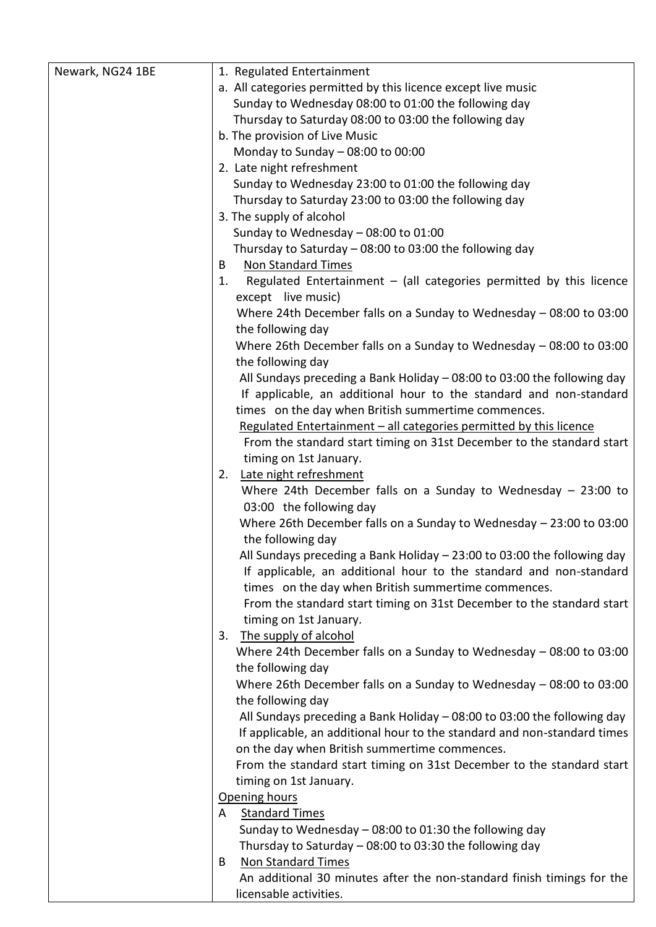| Newark, NG24 1BE | 1. Regulated Entertainment                                                  |
|------------------|-----------------------------------------------------------------------------|
|                  | a. All categories permitted by this licence except live music               |
|                  | Sunday to Wednesday 08:00 to 01:00 the following day                        |
|                  | Thursday to Saturday 08:00 to 03:00 the following day                       |
|                  | b. The provision of Live Music                                              |
|                  | Monday to Sunday - 08:00 to 00:00                                           |
|                  | 2. Late night refreshment                                                   |
|                  |                                                                             |
|                  | Sunday to Wednesday 23:00 to 01:00 the following day                        |
|                  | Thursday to Saturday 23:00 to 03:00 the following day                       |
|                  | 3. The supply of alcohol                                                    |
|                  | Sunday to Wednesday $-$ 08:00 to 01:00                                      |
|                  | Thursday to Saturday - 08:00 to 03:00 the following day                     |
|                  | <b>Non Standard Times</b><br>B                                              |
|                  | Regulated Entertainment $-$ (all categories permitted by this licence<br>1. |
|                  | except live music)                                                          |
|                  | Where 24th December falls on a Sunday to Wednesday - 08:00 to 03:00         |
|                  | the following day                                                           |
|                  | Where 26th December falls on a Sunday to Wednesday $-$ 08:00 to 03:00       |
|                  | the following day                                                           |
|                  | All Sundays preceding a Bank Holiday - 08:00 to 03:00 the following day     |
|                  | If applicable, an additional hour to the standard and non-standard          |
|                  | times on the day when British summertime commences.                         |
|                  | Regulated Entertainment - all categories permitted by this licence          |
|                  | From the standard start timing on 31st December to the standard start       |
|                  | timing on 1st January.                                                      |
|                  | Late night refreshment<br>2.                                                |
|                  | Where 24th December falls on a Sunday to Wednesday $-$ 23:00 to             |
|                  | 03:00 the following day                                                     |
|                  | Where 26th December falls on a Sunday to Wednesday - 23:00 to 03:00         |
|                  | the following day                                                           |
|                  | All Sundays preceding a Bank Holiday $-23:00$ to 03:00 the following day    |
|                  | If applicable, an additional hour to the standard and non-standard          |
|                  |                                                                             |
|                  | times on the day when British summertime commences.                         |
|                  | From the standard start timing on 31st December to the standard start       |
|                  | timing on 1st January.                                                      |
|                  | 3. The supply of alcohol                                                    |
|                  | Where 24th December falls on a Sunday to Wednesday - 08:00 to 03:00         |
|                  | the following day                                                           |
|                  | Where 26th December falls on a Sunday to Wednesday - 08:00 to 03:00         |
|                  | the following day                                                           |
|                  | All Sundays preceding a Bank Holiday - 08:00 to 03:00 the following day     |
|                  | If applicable, an additional hour to the standard and non-standard times    |
|                  | on the day when British summertime commences.                               |
|                  | From the standard start timing on 31st December to the standard start       |
|                  | timing on 1st January.                                                      |
|                  | Opening hours                                                               |
|                  | <b>Standard Times</b><br>A                                                  |
|                  | Sunday to Wednesday - 08:00 to 01:30 the following day                      |
|                  | Thursday to Saturday - 08:00 to 03:30 the following day                     |
|                  | <b>Non Standard Times</b><br>B                                              |
|                  | An additional 30 minutes after the non-standard finish timings for the      |
|                  | licensable activities.                                                      |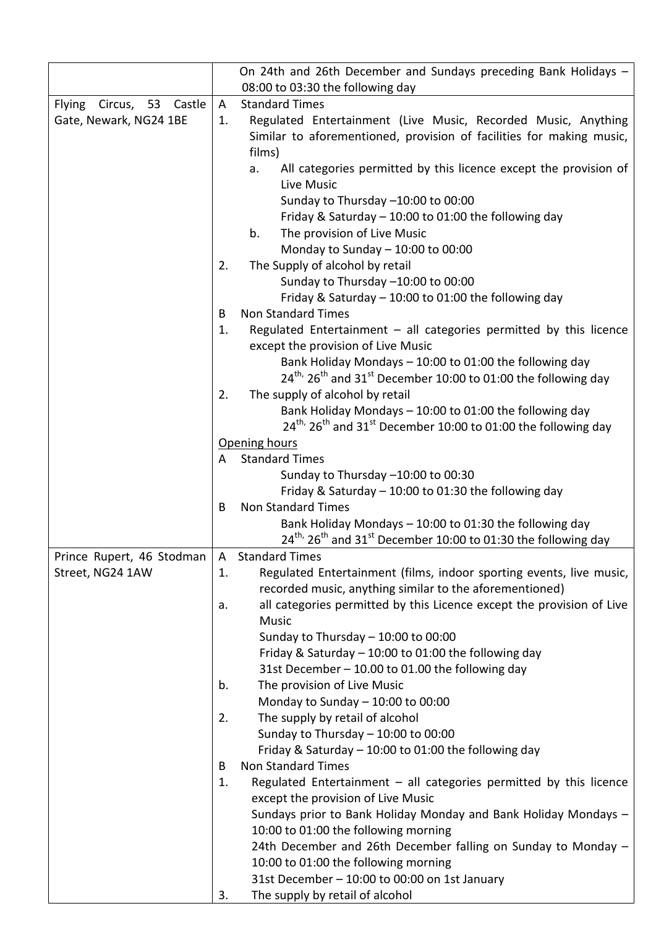|                                                              |    | On 24th and 26th December and Sundays preceding Bank Holidays -<br>08:00 to 03:30 the following day                                      |
|--------------------------------------------------------------|----|------------------------------------------------------------------------------------------------------------------------------------------|
|                                                              | A  | <b>Standard Times</b>                                                                                                                    |
| Circus, 53 Castle<br><b>Flying</b><br>Gate, Newark, NG24 1BE | 1. |                                                                                                                                          |
|                                                              |    | Regulated Entertainment (Live Music, Recorded Music, Anything<br>Similar to aforementioned, provision of facilities for making music,    |
|                                                              |    | films)                                                                                                                                   |
|                                                              |    | All categories permitted by this licence except the provision of<br>a.                                                                   |
|                                                              |    | Live Music                                                                                                                               |
|                                                              |    | Sunday to Thursday -10:00 to 00:00                                                                                                       |
|                                                              |    | Friday & Saturday - 10:00 to 01:00 the following day                                                                                     |
|                                                              |    | The provision of Live Music<br>b.                                                                                                        |
|                                                              |    | Monday to Sunday $-$ 10:00 to 00:00                                                                                                      |
|                                                              | 2. | The Supply of alcohol by retail                                                                                                          |
|                                                              |    | Sunday to Thursday -10:00 to 00:00                                                                                                       |
|                                                              |    | Friday & Saturday - 10:00 to 01:00 the following day                                                                                     |
|                                                              | B  | <b>Non Standard Times</b>                                                                                                                |
|                                                              | 1. | Regulated Entertainment $-$ all categories permitted by this licence                                                                     |
|                                                              |    | except the provision of Live Music<br>Bank Holiday Mondays - 10:00 to 01:00 the following day                                            |
|                                                              |    | $24^{th}$ , $26^{th}$ and $31^{st}$ December 10:00 to 01:00 the following day                                                            |
|                                                              | 2. | The supply of alcohol by retail                                                                                                          |
|                                                              |    | Bank Holiday Mondays - 10:00 to 01:00 the following day                                                                                  |
|                                                              |    | $24^{\text{th}}$ , $26^{\text{th}}$ and $31^{\text{st}}$ December 10:00 to 01:00 the following day                                       |
|                                                              |    | Opening hours                                                                                                                            |
|                                                              | A  | <b>Standard Times</b>                                                                                                                    |
|                                                              |    | Sunday to Thursday -10:00 to 00:30                                                                                                       |
|                                                              |    | Friday & Saturday $-10:00$ to 01:30 the following day                                                                                    |
|                                                              | B  | <b>Non Standard Times</b>                                                                                                                |
|                                                              |    | Bank Holiday Mondays - 10:00 to 01:30 the following day<br>$24^{th}$ , $26^{th}$ and $31^{st}$ December 10:00 to 01:30 the following day |
| Prince Rupert, 46 Stodman                                    | A  | <b>Standard Times</b>                                                                                                                    |
| Street, NG24 1AW                                             | 1. | Regulated Entertainment (films, indoor sporting events, live music,                                                                      |
|                                                              |    | recorded music, anything similar to the aforementioned)                                                                                  |
|                                                              | a. | all categories permitted by this Licence except the provision of Live                                                                    |
|                                                              |    | <b>Music</b>                                                                                                                             |
|                                                              |    | Sunday to Thursday $-$ 10:00 to 00:00                                                                                                    |
|                                                              |    | Friday & Saturday - 10:00 to 01:00 the following day                                                                                     |
|                                                              |    | 31st December - 10.00 to 01.00 the following day                                                                                         |
|                                                              | b. | The provision of Live Music                                                                                                              |
|                                                              |    | Monday to Sunday $-10:00$ to $00:00$                                                                                                     |
|                                                              | 2. | The supply by retail of alcohol                                                                                                          |
|                                                              |    | Sunday to Thursday $-$ 10:00 to 00:00                                                                                                    |
|                                                              |    | Friday & Saturday $-$ 10:00 to 01:00 the following day                                                                                   |
|                                                              | B  | <b>Non Standard Times</b>                                                                                                                |
|                                                              | 1. | Regulated Entertainment - all categories permitted by this licence                                                                       |
|                                                              |    | except the provision of Live Music                                                                                                       |
|                                                              |    | Sundays prior to Bank Holiday Monday and Bank Holiday Mondays -<br>10:00 to 01:00 the following morning                                  |
|                                                              |    | 24th December and 26th December falling on Sunday to Monday -                                                                            |
|                                                              |    | 10:00 to 01:00 the following morning                                                                                                     |
|                                                              |    | 31st December - 10:00 to 00:00 on 1st January                                                                                            |
|                                                              | 3. | The supply by retail of alcohol                                                                                                          |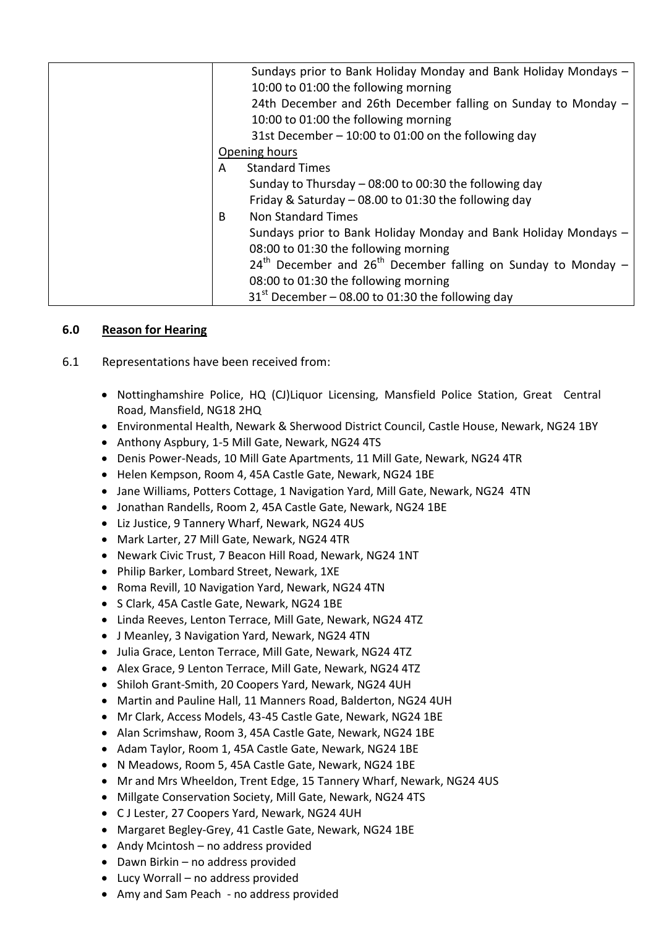| Sundays prior to Bank Holiday Monday and Bank Holiday Mondays -   |
|-------------------------------------------------------------------|
| 10:00 to 01:00 the following morning                              |
| 24th December and 26th December falling on Sunday to Monday -     |
| 10:00 to 01:00 the following morning                              |
| 31st December - 10:00 to 01:00 on the following day               |
| Opening hours                                                     |
| <b>Standard Times</b><br>A                                        |
| Sunday to Thursday - 08:00 to 00:30 the following day             |
| Friday & Saturday $-$ 08.00 to 01:30 the following day            |
| <b>Non Standard Times</b><br>B                                    |
| Sundays prior to Bank Holiday Monday and Bank Holiday Mondays -   |
| 08:00 to 01:30 the following morning                              |
| $24th$ December and $26th$ December falling on Sunday to Monday – |
| 08:00 to 01:30 the following morning                              |
| $31st$ December – 08.00 to 01:30 the following day                |
|                                                                   |

# **6.0 Reason for Hearing**

- 6.1 Representations have been received from:
	- Nottinghamshire Police, HQ (CJ)Liquor Licensing, Mansfield Police Station, Great Central Road, Mansfield, NG18 2HQ
	- Environmental Health, Newark & Sherwood District Council, Castle House, Newark, NG24 1BY
	- Anthony Aspbury, 1-5 Mill Gate, Newark, NG24 4TS
	- Denis Power-Neads, 10 Mill Gate Apartments, 11 Mill Gate, Newark, NG24 4TR
	- Helen Kempson, Room 4, 45A Castle Gate, Newark, NG24 1BE
	- Jane Williams, Potters Cottage, 1 Navigation Yard, Mill Gate, Newark, NG24 4TN
	- Jonathan Randells, Room 2, 45A Castle Gate, Newark, NG24 1BE
	- Liz Justice, 9 Tannery Wharf, Newark, NG24 4US
	- Mark Larter, 27 Mill Gate, Newark, NG24 4TR
	- Newark Civic Trust, 7 Beacon Hill Road, Newark, NG24 1NT
	- Philip Barker, Lombard Street, Newark, 1XE
	- Roma Revill, 10 Navigation Yard, Newark, NG24 4TN
	- S Clark, 45A Castle Gate, Newark, NG24 1BE
	- Linda Reeves, Lenton Terrace, Mill Gate, Newark, NG24 4TZ
	- J Meanley, 3 Navigation Yard, Newark, NG24 4TN
	- Julia Grace, Lenton Terrace, Mill Gate, Newark, NG24 4TZ
	- Alex Grace, 9 Lenton Terrace, Mill Gate, Newark, NG24 4TZ
	- Shiloh Grant-Smith, 20 Coopers Yard, Newark, NG24 4UH
	- Martin and Pauline Hall, 11 Manners Road, Balderton, NG24 4UH
	- Mr Clark, Access Models, 43-45 Castle Gate, Newark, NG24 1BE
	- Alan Scrimshaw, Room 3, 45A Castle Gate, Newark, NG24 1BE
	- Adam Taylor, Room 1, 45A Castle Gate, Newark, NG24 1BE
	- N Meadows, Room 5, 45A Castle Gate, Newark, NG24 1BE
	- Mr and Mrs Wheeldon, Trent Edge, 15 Tannery Wharf, Newark, NG24 4US
	- Millgate Conservation Society, Mill Gate, Newark, NG24 4TS
	- C J Lester, 27 Coopers Yard, Newark, NG24 4UH
	- Margaret Begley-Grey, 41 Castle Gate, Newark, NG24 1BE
	- Andy Mcintosh no address provided
	- Dawn Birkin no address provided
	- Lucy Worrall no address provided
	- Amy and Sam Peach no address provided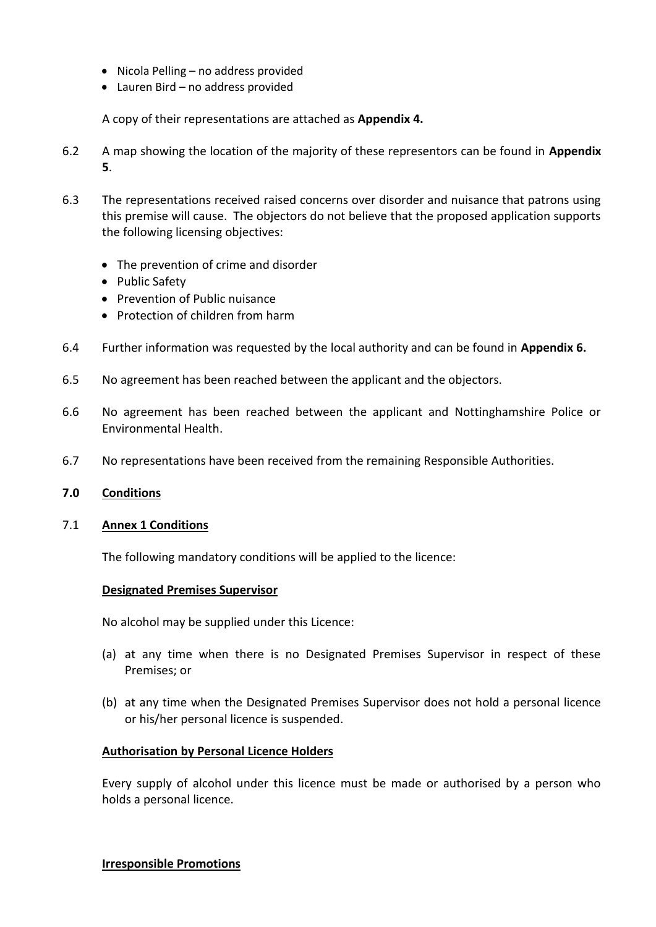- Nicola Pelling no address provided
- Lauren Bird no address provided

A copy of their representations are attached as **Appendix 4.**

- 6.2 A map showing the location of the majority of these representors can be found in **Appendix 5**.
- 6.3 The representations received raised concerns over disorder and nuisance that patrons using this premise will cause. The objectors do not believe that the proposed application supports the following licensing objectives:
	- The prevention of crime and disorder
	- Public Safety
	- Prevention of Public nuisance
	- Protection of children from harm
- 6.4 Further information was requested by the local authority and can be found in **Appendix 6.**
- 6.5 No agreement has been reached between the applicant and the objectors.
- 6.6 No agreement has been reached between the applicant and Nottinghamshire Police or Environmental Health.
- 6.7 No representations have been received from the remaining Responsible Authorities.

### **7.0 Conditions**

### 7.1 **Annex 1 Conditions**

The following mandatory conditions will be applied to the licence:

#### **Designated Premises Supervisor**

No alcohol may be supplied under this Licence:

- (a) at any time when there is no Designated Premises Supervisor in respect of these Premises; or
- (b) at any time when the Designated Premises Supervisor does not hold a personal licence or his/her personal licence is suspended.

### **Authorisation by Personal Licence Holders**

Every supply of alcohol under this licence must be made or authorised by a person who holds a personal licence.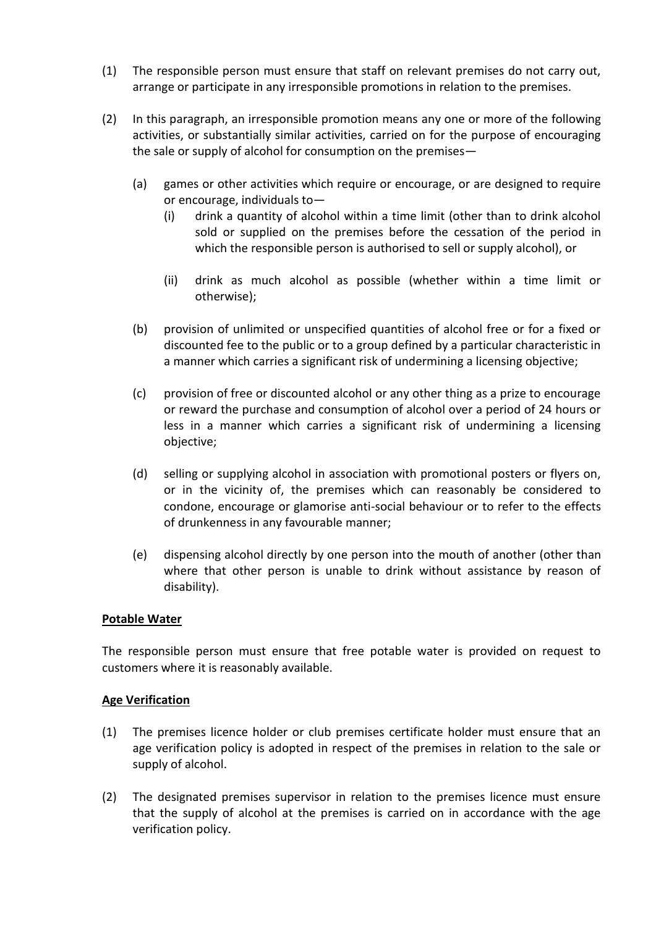- (1) The responsible person must ensure that staff on relevant premises do not carry out, arrange or participate in any irresponsible promotions in relation to the premises.
- (2) In this paragraph, an irresponsible promotion means any one or more of the following activities, or substantially similar activities, carried on for the purpose of encouraging the sale or supply of alcohol for consumption on the premises—
	- (a) games or other activities which require or encourage, or are designed to require or encourage, individuals to—
		- (i) drink a quantity of alcohol within a time limit (other than to drink alcohol sold or supplied on the premises before the cessation of the period in which the responsible person is authorised to sell or supply alcohol), or
		- (ii) drink as much alcohol as possible (whether within a time limit or otherwise);
	- (b) provision of unlimited or unspecified quantities of alcohol free or for a fixed or discounted fee to the public or to a group defined by a particular characteristic in a manner which carries a significant risk of undermining a licensing objective;
	- (c) provision of free or discounted alcohol or any other thing as a prize to encourage or reward the purchase and consumption of alcohol over a period of 24 hours or less in a manner which carries a significant risk of undermining a licensing objective;
	- (d) selling or supplying alcohol in association with promotional posters or flyers on, or in the vicinity of, the premises which can reasonably be considered to condone, encourage or glamorise anti-social behaviour or to refer to the effects of drunkenness in any favourable manner;
	- (e) dispensing alcohol directly by one person into the mouth of another (other than where that other person is unable to drink without assistance by reason of disability).

# **Potable Water**

The responsible person must ensure that free potable water is provided on request to customers where it is reasonably available.

### **Age Verification**

- (1) The premises licence holder or club premises certificate holder must ensure that an age verification policy is adopted in respect of the premises in relation to the sale or supply of alcohol.
- (2) The designated premises supervisor in relation to the premises licence must ensure that the supply of alcohol at the premises is carried on in accordance with the age verification policy.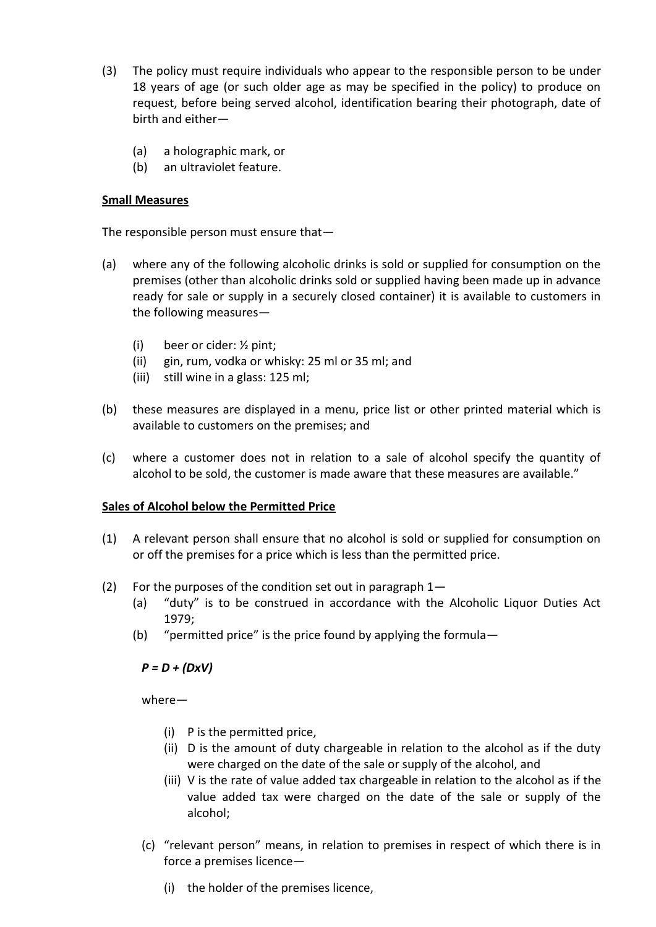- (3) The policy must require individuals who appear to the responsible person to be under 18 years of age (or such older age as may be specified in the policy) to produce on request, before being served alcohol, identification bearing their photograph, date of birth and either—
	- (a) a holographic mark, or
	- (b) an ultraviolet feature.

### **Small Measures**

The responsible person must ensure that—

- (a) where any of the following alcoholic drinks is sold or supplied for consumption on the premises (other than alcoholic drinks sold or supplied having been made up in advance ready for sale or supply in a securely closed container) it is available to customers in the following measures—
	- (i) beer or cider: ½ pint;
	- (ii) gin, rum, vodka or whisky: 25 ml or 35 ml; and
	- (iii) still wine in a glass: 125 ml;
- (b) these measures are displayed in a menu, price list or other printed material which is available to customers on the premises; and
- (c) where a customer does not in relation to a sale of alcohol specify the quantity of alcohol to be sold, the customer is made aware that these measures are available."

# **Sales of Alcohol below the Permitted Price**

- (1) A relevant person shall ensure that no alcohol is sold or supplied for consumption on or off the premises for a price which is less than the permitted price.
- (2) For the purposes of the condition set out in paragraph  $1-$ 
	- (a) "duty" is to be construed in accordance with the Alcoholic Liquor Duties Act 1979;
	- (b) "permitted price" is the price found by applying the formula—

# *P = D + (DxV)*

where—

- (i) P is the permitted price,
- (ii) D is the amount of duty chargeable in relation to the alcohol as if the duty were charged on the date of the sale or supply of the alcohol, and
- (iii) V is the rate of value added tax chargeable in relation to the alcohol as if the value added tax were charged on the date of the sale or supply of the alcohol;
- (c) "relevant person" means, in relation to premises in respect of which there is in force a premises licence—
	- (i) the holder of the premises licence,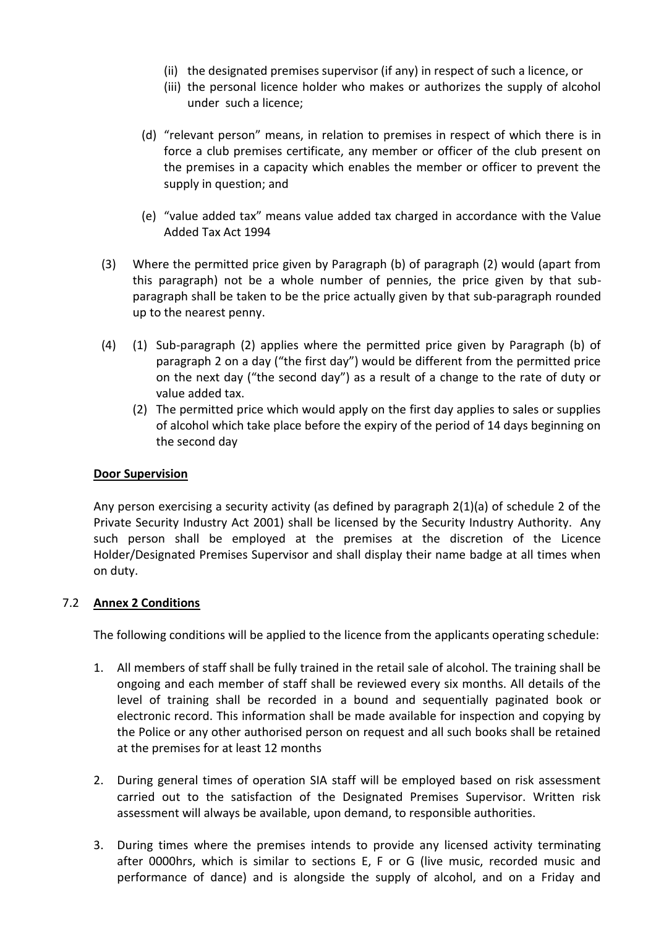- (ii) the designated premises supervisor (if any) in respect of such a licence, or
- (iii) the personal licence holder who makes or authorizes the supply of alcohol under such a licence;
- (d) "relevant person" means, in relation to premises in respect of which there is in force a club premises certificate, any member or officer of the club present on the premises in a capacity which enables the member or officer to prevent the supply in question; and
- (e) "value added tax" means value added tax charged in accordance with the Value Added Tax Act 1994
- (3) Where the permitted price given by Paragraph (b) of paragraph (2) would (apart from this paragraph) not be a whole number of pennies, the price given by that subparagraph shall be taken to be the price actually given by that sub-paragraph rounded up to the nearest penny.
- (4) (1) Sub-paragraph (2) applies where the permitted price given by Paragraph (b) of paragraph 2 on a day ("the first day") would be different from the permitted price on the next day ("the second day") as a result of a change to the rate of duty or value added tax.
	- (2) The permitted price which would apply on the first day applies to sales or supplies of alcohol which take place before the expiry of the period of 14 days beginning on the second day

### **Door Supervision**

Any person exercising a security activity (as defined by paragraph 2(1)(a) of schedule 2 of the Private Security Industry Act 2001) shall be licensed by the Security Industry Authority. Any such person shall be employed at the premises at the discretion of the Licence Holder/Designated Premises Supervisor and shall display their name badge at all times when on duty.

### 7.2 **Annex 2 Conditions**

The following conditions will be applied to the licence from the applicants operating schedule:

- 1. All members of staff shall be fully trained in the retail sale of alcohol. The training shall be ongoing and each member of staff shall be reviewed every six months. All details of the level of training shall be recorded in a bound and sequentially paginated book or electronic record. This information shall be made available for inspection and copying by the Police or any other authorised person on request and all such books shall be retained at the premises for at least 12 months
- 2. During general times of operation SIA staff will be employed based on risk assessment carried out to the satisfaction of the Designated Premises Supervisor. Written risk assessment will always be available, upon demand, to responsible authorities.
- 3. During times where the premises intends to provide any licensed activity terminating after 0000hrs, which is similar to sections E, F or G (live music, recorded music and performance of dance) and is alongside the supply of alcohol, and on a Friday and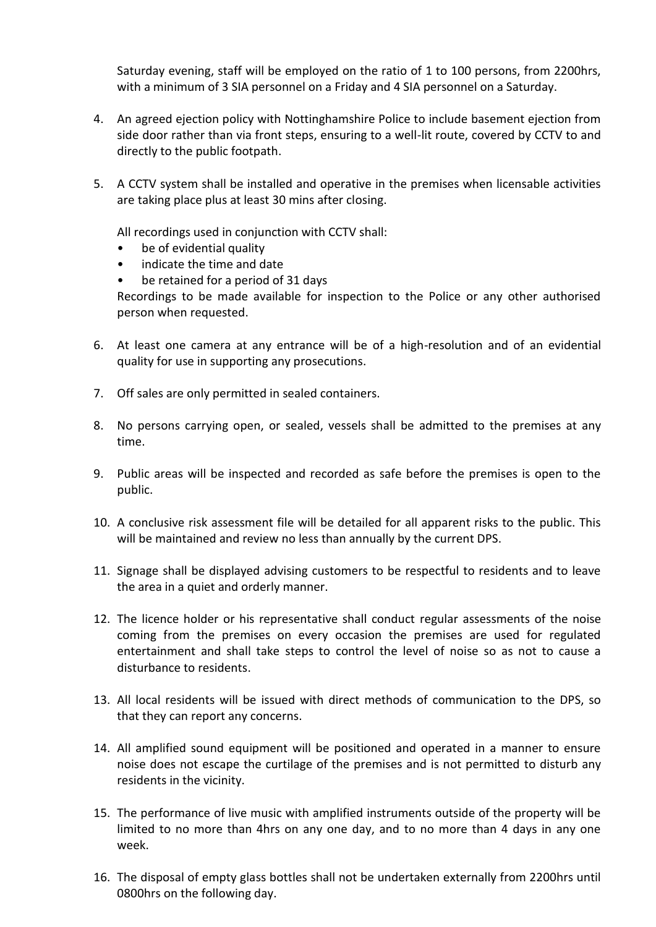Saturday evening, staff will be employed on the ratio of 1 to 100 persons, from 2200hrs, with a minimum of 3 SIA personnel on a Friday and 4 SIA personnel on a Saturday.

- 4. An agreed ejection policy with Nottinghamshire Police to include basement ejection from side door rather than via front steps, ensuring to a well-lit route, covered by CCTV to and directly to the public footpath.
- 5. A CCTV system shall be installed and operative in the premises when licensable activities are taking place plus at least 30 mins after closing.

All recordings used in conjunction with CCTV shall:

- be of evidential quality
- indicate the time and date
- be retained for a period of 31 days

Recordings to be made available for inspection to the Police or any other authorised person when requested.

- 6. At least one camera at any entrance will be of a high-resolution and of an evidential quality for use in supporting any prosecutions.
- 7. Off sales are only permitted in sealed containers.
- 8. No persons carrying open, or sealed, vessels shall be admitted to the premises at any time.
- 9. Public areas will be inspected and recorded as safe before the premises is open to the public.
- 10. A conclusive risk assessment file will be detailed for all apparent risks to the public. This will be maintained and review no less than annually by the current DPS.
- 11. Signage shall be displayed advising customers to be respectful to residents and to leave the area in a quiet and orderly manner.
- 12. The licence holder or his representative shall conduct regular assessments of the noise coming from the premises on every occasion the premises are used for regulated entertainment and shall take steps to control the level of noise so as not to cause a disturbance to residents.
- 13. All local residents will be issued with direct methods of communication to the DPS, so that they can report any concerns.
- 14. All amplified sound equipment will be positioned and operated in a manner to ensure noise does not escape the curtilage of the premises and is not permitted to disturb any residents in the vicinity.
- 15. The performance of live music with amplified instruments outside of the property will be limited to no more than 4hrs on any one day, and to no more than 4 days in any one week.
- 16. The disposal of empty glass bottles shall not be undertaken externally from 2200hrs until 0800hrs on the following day.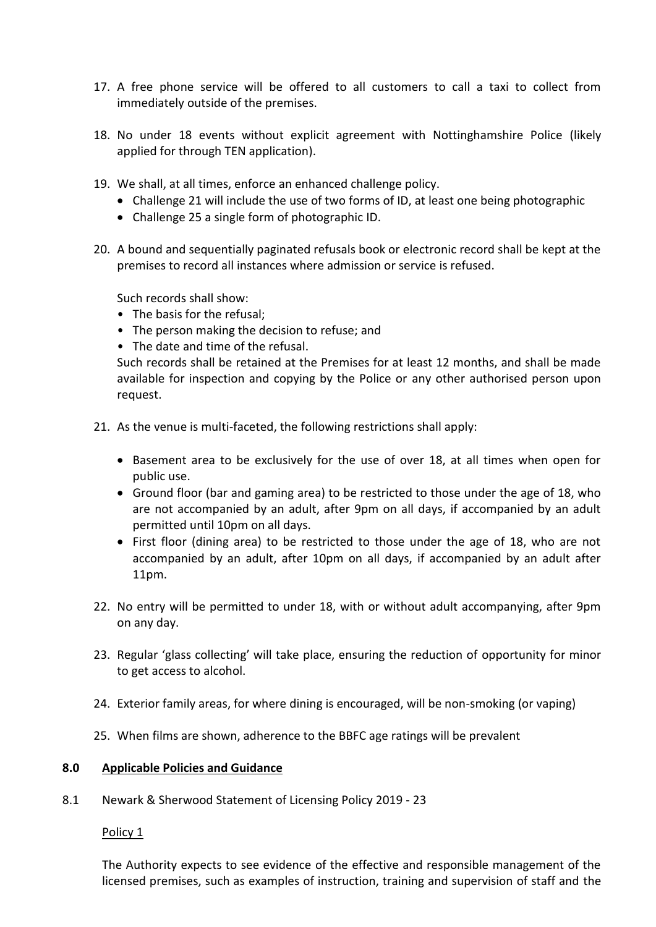- 17. A free phone service will be offered to all customers to call a taxi to collect from immediately outside of the premises.
- 18. No under 18 events without explicit agreement with Nottinghamshire Police (likely applied for through TEN application).
- 19. We shall, at all times, enforce an enhanced challenge policy.
	- Challenge 21 will include the use of two forms of ID, at least one being photographic
	- Challenge 25 a single form of photographic ID.
- 20. A bound and sequentially paginated refusals book or electronic record shall be kept at the premises to record all instances where admission or service is refused.

Such records shall show:

- The basis for the refusal;
- The person making the decision to refuse; and
- The date and time of the refusal.

Such records shall be retained at the Premises for at least 12 months, and shall be made available for inspection and copying by the Police or any other authorised person upon request.

- 21. As the venue is multi-faceted, the following restrictions shall apply:
	- Basement area to be exclusively for the use of over 18, at all times when open for public use.
	- Ground floor (bar and gaming area) to be restricted to those under the age of 18, who are not accompanied by an adult, after 9pm on all days, if accompanied by an adult permitted until 10pm on all days.
	- First floor (dining area) to be restricted to those under the age of 18, who are not accompanied by an adult, after 10pm on all days, if accompanied by an adult after 11pm.
- 22. No entry will be permitted to under 18, with or without adult accompanying, after 9pm on any day.
- 23. Regular 'glass collecting' will take place, ensuring the reduction of opportunity for minor to get access to alcohol.
- 24. Exterior family areas, for where dining is encouraged, will be non-smoking (or vaping)
- 25. When films are shown, adherence to the BBFC age ratings will be prevalent

### **8.0 Applicable Policies and Guidance**

8.1 Newark & Sherwood Statement of Licensing Policy 2019 - 23

#### Policy 1

The Authority expects to see evidence of the effective and responsible management of the licensed premises, such as examples of instruction, training and supervision of staff and the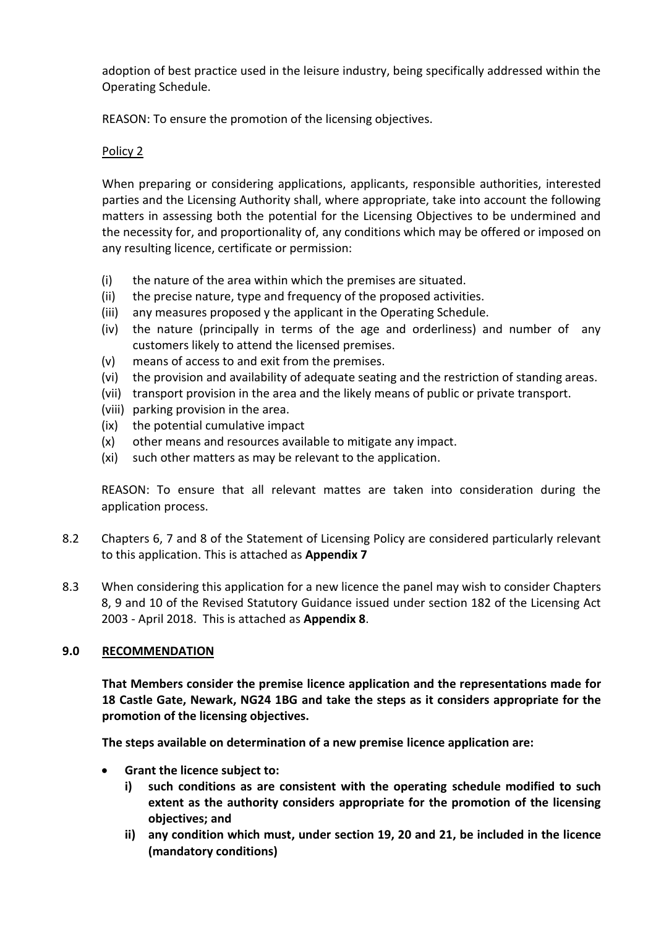adoption of best practice used in the leisure industry, being specifically addressed within the Operating Schedule.

REASON: To ensure the promotion of the licensing objectives.

# Policy 2

When preparing or considering applications, applicants, responsible authorities, interested parties and the Licensing Authority shall, where appropriate, take into account the following matters in assessing both the potential for the Licensing Objectives to be undermined and the necessity for, and proportionality of, any conditions which may be offered or imposed on any resulting licence, certificate or permission:

- (i) the nature of the area within which the premises are situated.
- (ii) the precise nature, type and frequency of the proposed activities.
- (iii) any measures proposed y the applicant in the Operating Schedule.
- (iv) the nature (principally in terms of the age and orderliness) and number of any customers likely to attend the licensed premises.
- (v) means of access to and exit from the premises.
- (vi) the provision and availability of adequate seating and the restriction of standing areas.
- (vii) transport provision in the area and the likely means of public or private transport.
- (viii) parking provision in the area.
- (ix) the potential cumulative impact
- (x) other means and resources available to mitigate any impact.
- (xi) such other matters as may be relevant to the application.

REASON: To ensure that all relevant mattes are taken into consideration during the application process.

- 8.2 Chapters 6, 7 and 8 of the Statement of Licensing Policy are considered particularly relevant to this application. This is attached as **Appendix 7**
- 8.3 When considering this application for a new licence the panel may wish to consider Chapters 8, 9 and 10 of the Revised Statutory Guidance issued under section 182 of the Licensing Act 2003 - April 2018. This is attached as **Appendix 8**.

# **9.0 RECOMMENDATION**

**That Members consider the premise licence application and the representations made for 18 Castle Gate, Newark, NG24 1BG and take the steps as it considers appropriate for the promotion of the licensing objectives.**

**The steps available on determination of a new premise licence application are:**

- **Grant the licence subject to:**
	- **i) such conditions as are consistent with the operating schedule modified to such extent as the authority considers appropriate for the promotion of the licensing objectives; and**
	- **ii) any condition which must, under section 19, 20 and 21, be included in the licence (mandatory conditions)**